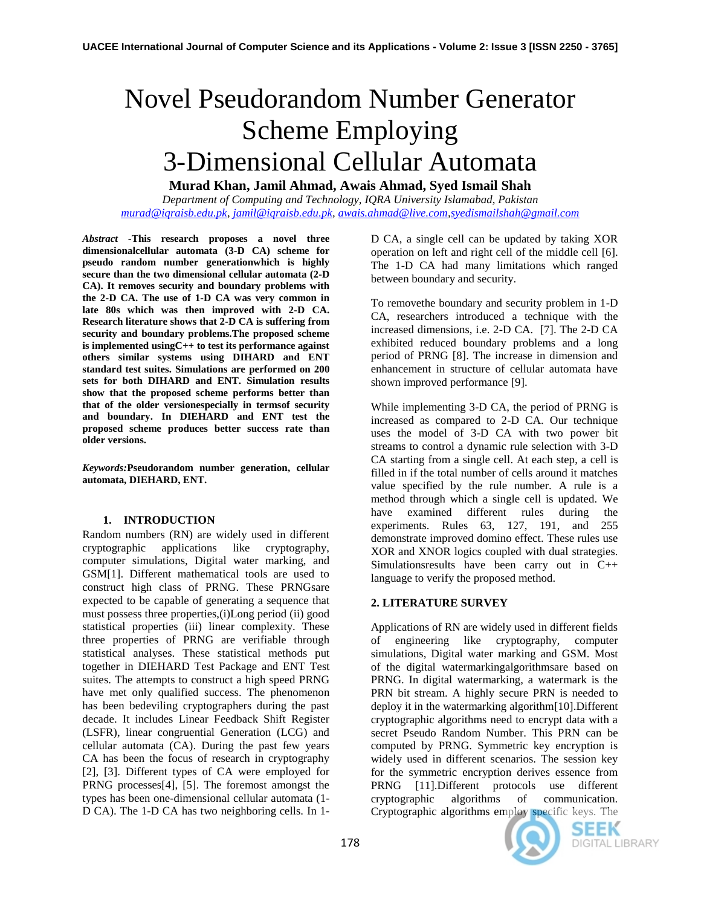# Novel Pseudorandom Number Generator Scheme Employing 3-Dimensional Cellular Automata

**Murad Khan, Jamil Ahmad, Awais Ahmad, Syed Ismail Shah**

*Department of Computing and Technology, IQRA University Islamabad, Pakistan [murad@iqraisb.edu.pk,](mailto:murad@iqraisb.edu.pk) [jamil@iqraisb.edu.pk,](mailto:jamil@iqraisb.edu.pk) [awais.ahmad@live.com,](mailto:awais.ahmad@live.com)[syedismailshah@gmail.com](mailto:syedismailshah@gmail.com)*

*Abstract -***This research proposes a novel three dimensionalcellular automata (3-D CA) scheme for pseudo random number generationwhich is highly secure than the two dimensional cellular automata (2-D CA). It removes security and boundary problems with the 2-D CA. The use of 1-D CA was very common in late 80s which was then improved with 2-D CA. Research literature shows that 2-D CA is suffering from security and boundary problems.The proposed scheme is implemented usingC++ to test its performance against others similar systems using DIHARD and ENT standard test suites. Simulations are performed on 200 sets for both DIHARD and ENT. Simulation results show that the proposed scheme performs better than that of the older versionespecially in termsof security and boundary. In DIEHARD and ENT test the proposed scheme produces better success rate than older versions.**

*Keywords:***Pseudorandom number generation, cellular automata, DIEHARD, ENT.**

## **1. INTRODUCTION**

Random numbers (RN) are widely used in different cryptographic applications like cryptography, computer simulations, Digital water marking, and GSM[1]. Different mathematical tools are used to construct high class of PRNG. These PRNGsare expected to be capable of generating a sequence that must possess three properties,(i)Long period (ii) good statistical properties (iii) linear complexity. These three properties of PRNG are verifiable through statistical analyses. These statistical methods put together in DIEHARD Test Package and ENT Test suites. The attempts to construct a high speed PRNG have met only qualified success. The phenomenon has been bedeviling cryptographers during the past decade. It includes Linear Feedback Shift Register (LSFR), linear congruential Generation (LCG) and cellular automata (CA). During the past few years CA has been the focus of research in cryptography [2], [3]. Different types of CA were employed for PRNG processes[4], [5]. The foremost amongst the types has been one-dimensional cellular automata (1- D CA). The 1-D CA has two neighboring cells. In 1D CA, a single cell can be updated by taking XOR operation on left and right cell of the middle cell [6]. The 1-D CA had many limitations which ranged between boundary and security.

To removethe boundary and security problem in 1-D CA, researchers introduced a technique with the increased dimensions, i.e. 2-D CA. [7]. The 2-D CA exhibited reduced boundary problems and a long period of PRNG [8]. The increase in dimension and enhancement in structure of cellular automata have shown improved performance [9].

While implementing 3-D CA, the period of PRNG is increased as compared to 2-D CA. Our technique uses the model of 3-D CA with two power bit streams to control a dynamic rule selection with 3-D CA starting from a single cell. At each step, a cell is filled in if the total number of cells around it matches value specified by the rule number. A rule is a method through which a single cell is updated. We have examined different rules during the experiments. Rules 63, 127, 191, and 255 demonstrate improved domino effect. These rules use XOR and XNOR logics coupled with dual strategies. Simulationsresults have been carry out in C++ language to verify the proposed method.

# **2. LITERATURE SURVEY**

Applications of RN are widely used in different fields of engineering like cryptography, computer simulations, Digital water marking and GSM. Most of the digital watermarkingalgorithmsare based on PRNG. In digital watermarking, a watermark is the PRN bit stream. A highly secure PRN is needed to deploy it in the watermarking algorithm[10].Different cryptographic algorithms need to encrypt data with a secret Pseudo Random Number. This PRN can be computed by PRNG. Symmetric key encryption is widely used in different scenarios. The session key for the symmetric encryption derives essence from PRNG [11].Different protocols use different cryptographic algorithms of communication. Cryptographic algorithms employ specific keys. The



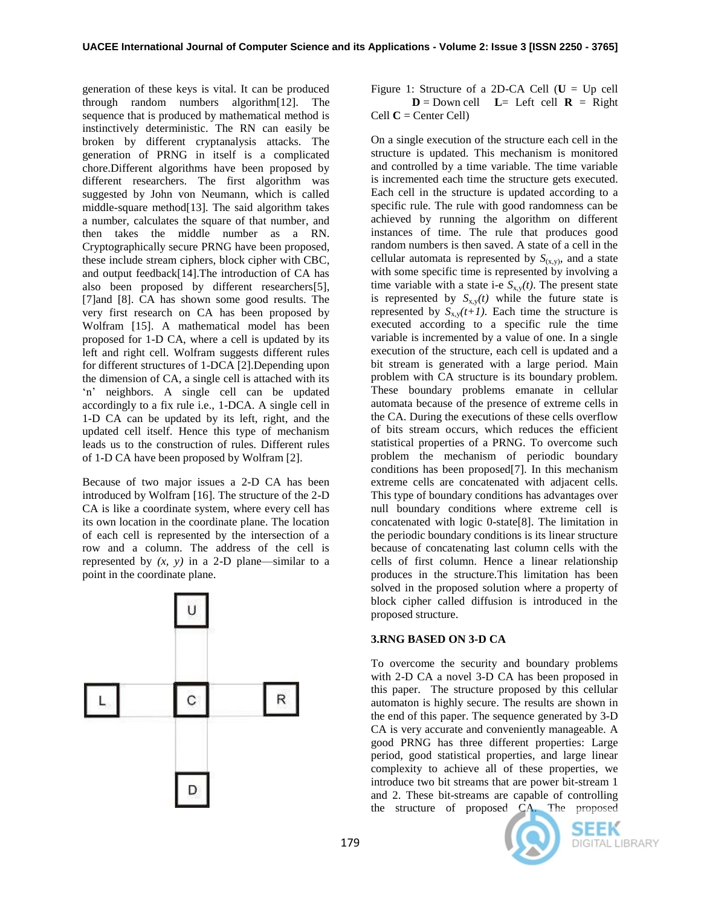generation of these keys is vital. It can be produced through random numbers algorithm[12]. The sequence that is produced by mathematical method is instinctively deterministic. The RN can easily be broken by different cryptanalysis attacks. The generation of PRNG in itself is a complicated chore.Different algorithms have been proposed by different researchers. The first algorithm was suggested by John von Neumann, which is called middle-square method[13]*.* The said algorithm takes a number, calculates the square of that number, and then takes the middle number as a RN. Cryptographically secure PRNG have been proposed, these include stream ciphers, block cipher with CBC, and output feedback[\[14\]](#page-5-0).The introduction of CA has also been proposed by different researchers[5], [7]and [8]. CA has shown some good results. The very first research on CA has been proposed by Wolfram [15]. A mathematical model has been proposed for 1-D CA, where a cell is updated by its left and right cell. Wolfram suggests different rules for different structures of 1-DCA [2].Depending upon the dimension of CA, a single cell is attached with its 'n' neighbors. A single cell can be updated accordingly to a fix rule i.e., 1-DCA. A single cell in 1-D CA can be updated by its left, right, and the updated cell itself. Hence this type of mechanism leads us to the construction of rules. Different rules of 1-D CA have been proposed by Wolfram [2].

Because of two major issues a 2-D CA has been introduced by Wolfram [\[16\]](#page-5-1). The structure of the 2-D CA is like a coordinate system, where every cell has its own location in the coordinate plane. The location of each cell is represented by the intersection of a row and a column. The address of the cell is represented by  $(x, y)$  in a 2-D plane—similar to a point in the coordinate plane.



Figure 1: Structure of a 2D-CA Cell  $(U = Up$  cell  $D =$  Down cell  $L =$  Left cell  $R =$  Right Cell **C** = Center Cell)

On a single execution of the structure each cell in the structure is updated. This mechanism is monitored and controlled by a time variable. The time variable is incremented each time the structure gets executed. Each cell in the structure is updated according to a specific rule. The rule with good randomness can be achieved by running the algorithm on different instances of time. The rule that produces good random numbers is then saved. A state of a cell in the cellular automata is represented by  $S_{(x,y)}$ , and a state with some specific time is represented by involving a time variable with a state i-e  $S_{x,y}(t)$ . The present state is represented by  $S_{x,y}(t)$  while the future state is represented by  $S_{x,y}(t+1)$ . Each time the structure is executed according to a specific rule the time variable is incremented by a value of one. In a single execution of the structure, each cell is updated and a bit stream is generated with a large period. Main problem with CA structure is its boundary problem. These boundary problems emanate in cellular automata because of the presence of extreme cells in the CA. During the executions of these cells overflow of bits stream occurs, which reduces the efficient statistical properties of a PRNG. To overcome such problem the mechanism of periodic boundary conditions has been proposed[7]. In this mechanism extreme cells are concatenated with adjacent cells. This type of boundary conditions has advantages over null boundary conditions where extreme cell is concatenated with logic 0-state[8]. The limitation in the periodic boundary conditions is its linear structure because of concatenating last column cells with the cells of first column. Hence a linear relationship produces in the structure.This limitation has been solved in the proposed solution where a property of block cipher called diffusion is introduced in the proposed structure.

# **3.RNG BASED ON 3-D CA**

To overcome the security and boundary problems with 2-D CA a novel 3-D CA has been proposed in this paper. The structure proposed by this cellular automaton is highly secure. The results are shown in the end of this paper. The sequence generated by 3-D CA is very accurate and conveniently manageable. A good PRNG has three different properties: Large period, good statistical properties, and large linear complexity to achieve all of these properties, we introduce two bit streams that are power bit-stream 1 and 2. These bit-streams are capable of controlling the structure of proposed CA. The proposed



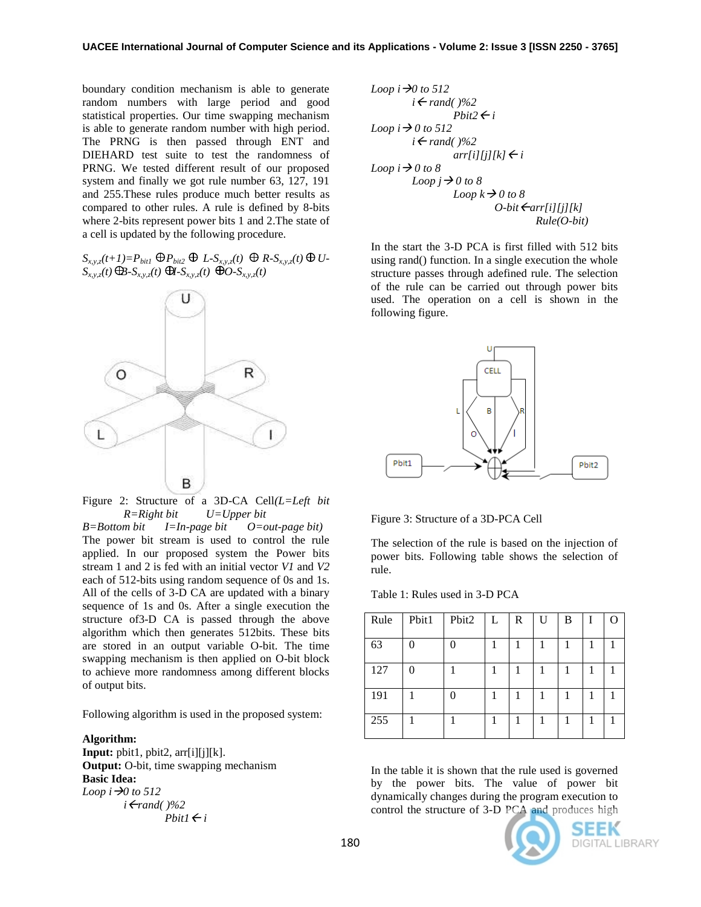boundary condition mechanism is able to generate random numbers with large period and good statistical properties. Our time swapping mechanism is able to generate random number with high period. The PRNG is then passed through ENT and DIEHARD test suite to test the randomness of PRNG. We tested different result of our proposed system and finally we got rule number 63, 127, 191 and 255.These rules produce much better results as compared to other rules. A rule is defined by 8-bits where 2-bits represent power bits 1 and 2.The state of a cell is updated by the following procedure.

 $S_{xx}$ <sub>z</sub> $(t+1)=P_{bit1}$   $\oplus P_{bit2}$   $\oplus L-S_{xxz}(t)$   $\oplus R-S_{xxz}(t)$   $\oplus U S_{x,y,z}(t)$   $\bigoplus S_{x,y,z}(t)$   $\bigoplus S_{x,y,z}(t)$   $\bigoplus S_{x,y,z}(t)$ 



Figure 2: Structure of a 3D-CA Cell*(L=Left bit R=Right bit U=Upper bit* 

*B=Bottom bit I=In-page bit O=out-page bit)*  The power bit stream is used to control the rule applied. In our proposed system the Power bits stream 1 and 2 is fed with an initial vector *V1* and *V2* each of 512-bits using random sequence of 0s and 1s. All of the cells of 3-D CA are updated with a binary sequence of 1s and 0s. After a single execution the structure of3-D CA is passed through the above algorithm which then generates 512bits. These bits are stored in an output variable O-bit. The time swapping mechanism is then applied on O-bit block to achieve more randomness among different blocks of output bits.

Following algorithm is used in the proposed system:

#### **Algorithm:**

**Input:**  $\text{pbit1}, \text{pbit2}, \text{arr}[i][j][k].$ **Output:** O-bit, time swapping mechanism **Basic Idea:**  *Loop*  $i \rightarrow 0$  to 512 *irand( )%2*  $Pbit1 \leftarrow i$ 

Loop 
$$
i \rightarrow 0
$$
 to 512

\n
$$
i \leftarrow rand() \% 2
$$
\n
$$
Pbi2 \leftarrow i
$$
\nLoop  $i \rightarrow 0$  to 512

\n
$$
i \leftarrow rand() \% 2
$$
\n
$$
arr[i][j][k] \leftarrow i
$$
\nLoop  $i \rightarrow 0$  to 8

\n
$$
Loop \leftarrow j \rightarrow 0
$$
\n
$$
loop \leftarrow k \rightarrow 0
$$
\n
$$
loop \leftarrow k \rightarrow 0
$$
\n
$$
O-bit \leftarrow arr[i][j][k]
$$
\n
$$
Rule(O-bit)
$$

In the start the 3-D PCA is first filled with 512 bits using rand() function. In a single execution the whole structure passes through adefined rule. The selection of the rule can be carried out through power bits used. The operation on a cell is shown in the following figure.



Figure 3: Structure of a 3D-PCA Cell

The selection of the rule is based on the injection of power bits. Following table shows the selection of rule.

| Rule | Pbit1 | Pbit2 | L | R | $\mathbf U$ | B | $\mathbf{I}$ |  |
|------|-------|-------|---|---|-------------|---|--------------|--|
| 63   |       |       |   |   | 1           |   |              |  |
| 127  |       |       |   |   |             |   |              |  |
| 191  |       |       |   |   |             |   |              |  |
| 255  |       |       |   |   |             |   |              |  |

In the table it is shown that the rule used is governed by the power bits. The value of power bit dynamically changes during the program execution to control the structure of 3-D PCA and produces high



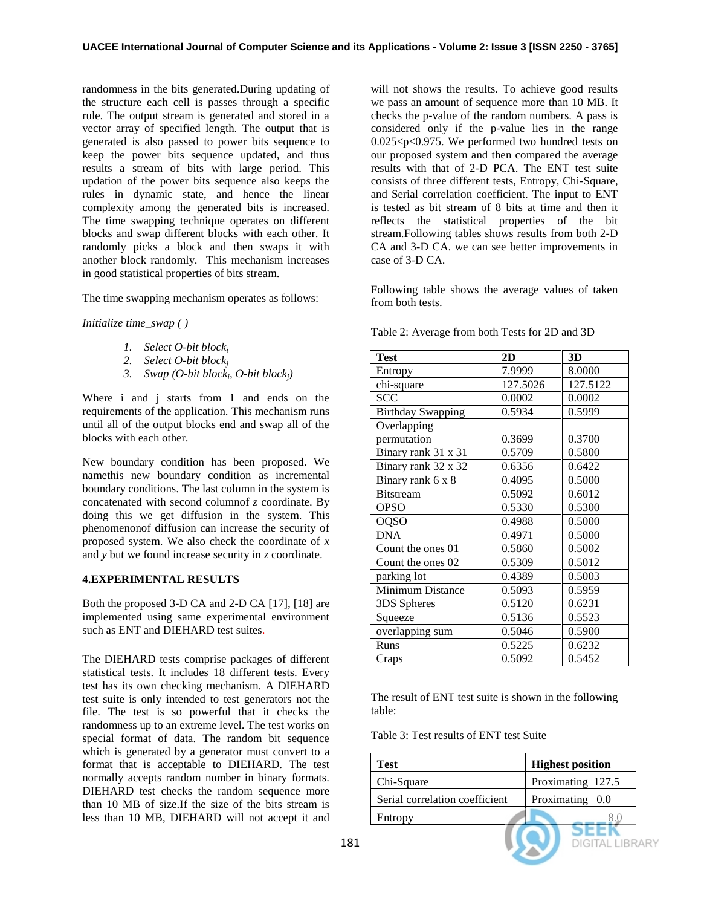randomness in the bits generated.During updating of the structure each cell is passes through a specific rule. The output stream is generated and stored in a vector array of specified length. The output that is generated is also passed to power bits sequence to keep the power bits sequence updated, and thus results a stream of bits with large period. This updation of the power bits sequence also keeps the rules in dynamic state, and hence the linear complexity among the generated bits is increased. The time swapping technique operates on different blocks and swap different blocks with each other. It randomly picks a block and then swaps it with another block randomly. This mechanism increases in good statistical properties of bits stream.

The time swapping mechanism operates as follows:

*Initialize time\_swap ( )*

- *1. Select O-bit block<sup>i</sup>*
- *2. Select O-bit block<sup>j</sup>*
- *3. Swap (O-bit block<sup>i</sup> , O-bit blockj)*

Where i and j starts from 1 and ends on the requirements of the application. This mechanism runs until all of the output blocks end and swap all of the blocks with each other.

New boundary condition has been proposed. We namethis new boundary condition as incremental boundary conditions. The last column in the system is concatenated with second columnof *z* coordinate. By doing this we get diffusion in the system. This phenomenonof diffusion can increase the security of proposed system. We also check the coordinate of *x* and *y* but we found increase security in *z* coordinate.

## **4.EXPERIMENTAL RESULTS**

Both the proposed 3-D CA and 2-D CA [17], [18] are implemented using same experimental environment such as ENT and DIEHARD test suites.

The DIEHARD tests comprise packages of different statistical tests. It includes 18 different tests. Every test has its own checking mechanism. A DIEHARD test suite is only intended to test generators not the file. The test is so powerful that it checks the randomness up to an extreme level. The test works on special format of data. The random bit sequence which is generated by a generator must convert to a format that is acceptable to DIEHARD. The test normally accepts random number in binary formats. DIEHARD test checks the random sequence more than 10 MB of size.If the size of the bits stream is less than 10 MB, DIEHARD will not accept it and

will not shows the results. To achieve good results we pass an amount of sequence more than 10 MB. It checks the p-value of the random numbers. A pass is considered only if the p-value lies in the range 0.025<p<0.975. We performed two hundred tests on our proposed system and then compared the average results with that of 2-D PCA. The ENT test suite consists of three different tests, Entropy, Chi-Square, and Serial correlation coefficient. The input to ENT is tested as bit stream of 8 bits at time and then it reflects the statistical properties of the bit stream.Following tables shows results from both 2-D CA and 3-D CA. we can see better improvements in case of 3-D CA.

Following table shows the average values of taken from both tests.

| <b>Test</b>              | 2D       | 3D       |  |
|--------------------------|----------|----------|--|
| Entropy                  | 7.9999   | 8.0000   |  |
| chi-square               | 127.5026 | 127.5122 |  |
| <b>SCC</b>               | 0.0002   | 0.0002   |  |
| <b>Birthday Swapping</b> | 0.5934   | 0.5999   |  |
| Overlapping              |          |          |  |
| permutation              | 0.3699   | 0.3700   |  |
| Binary rank 31 x 31      | 0.5709   | 0.5800   |  |
| Binary rank 32 x 32      | 0.6356   | 0.6422   |  |
| Binary rank 6 x 8        | 0.4095   | 0.5000   |  |
| <b>Bitstream</b>         | 0.5092   | 0.6012   |  |
| OPSO                     | 0.5330   | 0.5300   |  |
| <b>OQSO</b>              | 0.4988   | 0.5000   |  |
| <b>DNA</b>               | 0.4971   | 0.5000   |  |
| Count the ones 01        | 0.5860   | 0.5002   |  |
| Count the ones 02        | 0.5309   | 0.5012   |  |
| parking lot              | 0.4389   | 0.5003   |  |
| Minimum Distance         | 0.5093   | 0.5959   |  |
| 3DS Spheres              | 0.5120   | 0.6231   |  |
| Squeeze                  | 0.5136   | 0.5523   |  |
| overlapping sum          | 0.5046   | 0.5900   |  |
| Runs                     | 0.5225   | 0.6232   |  |
| Craps                    | 0.5092   | 0.5452   |  |

Table 2: Average from both Tests for 2D and 3D

The result of ENT test suite is shown in the following table:

Table 3: Test results of ENT test Suite

| Test                           | <b>Highest position</b> |
|--------------------------------|-------------------------|
| Chi-Square                     | Proximating 127.5       |
| Serial correlation coefficient | Proximating 0.0         |
| Entropy                        |                         |
|                                |                         |

**DIGITAL LIBRARY**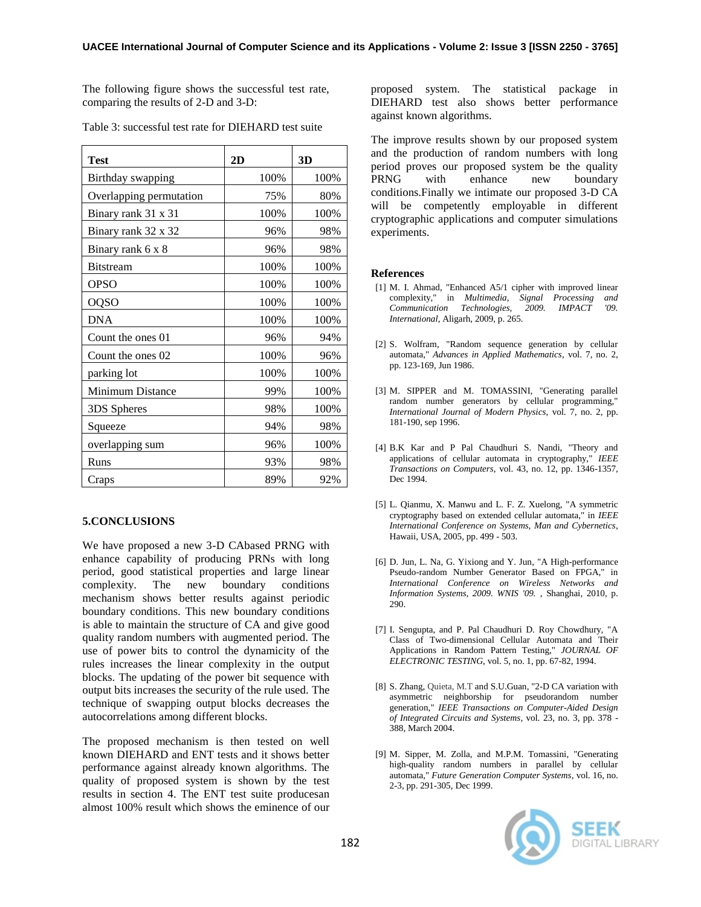The following figure shows the successful test rate, comparing the results of 2-D and 3-D:

| <b>Test</b>             | 2D   | 3D   |
|-------------------------|------|------|
| Birthday swapping       | 100% | 100% |
| Overlapping permutation | 75%  | 80%  |
| Binary rank 31 x 31     | 100% | 100% |
| Binary rank 32 x 32     | 96%  | 98%  |
| Binary rank 6 x 8       | 96%  | 98%  |
| <b>Bitstream</b>        | 100% | 100% |
| <b>OPSO</b>             | 100% | 100% |
| <b>OQSO</b>             | 100% | 100% |
| <b>DNA</b>              | 100% | 100% |
| Count the ones 01       | 96%  | 94%  |
| Count the ones 02       | 100% | 96%  |
| parking lot             | 100% | 100% |
| Minimum Distance        | 99%  | 100% |
| 3DS Spheres             | 98%  | 100% |
| Squeeze                 | 94%  | 98%  |
| overlapping sum         | 96%  | 100% |
| Runs                    | 93%  | 98%  |
| Craps                   | 89%  | 92%  |

Table 3: successful test rate for DIEHARD test suite

## **5.CONCLUSIONS**

We have proposed a new 3-D CAbased PRNG with enhance capability of producing PRNs with long period, good statistical properties and large linear complexity. The new boundary conditions mechanism shows better results against periodic boundary conditions. This new boundary conditions is able to maintain the structure of CA and give good quality random numbers with augmented period. The use of power bits to control the dynamicity of the rules increases the linear complexity in the output blocks. The updating of the power bit sequence with output bits increases the security of the rule used. The technique of swapping output blocks decreases the autocorrelations among different blocks.

The proposed mechanism is then tested on well known DIEHARD and ENT tests and it shows better performance against already known algorithms. The quality of proposed system is shown by the test results in section 4. The ENT test suite producesan almost 100% result which shows the eminence of our

proposed system. The statistical package in DIEHARD test also shows better performance against known algorithms.

The improve results shown by our proposed system and the production of random numbers with long period proves our proposed system be the quality PRNG with enhance new boundary conditions.Finally we intimate our proposed 3-D CA will be competently employable in different cryptographic applications and computer simulations experiments.

#### **References**

- [1] M. I. Ahmad, "Enhanced A5/1 cipher with improved linear complexity," in *Multimedia, Signal Processing and*   **Technologies,** *International*, Aligarh, 2009, p. 265.
- [2] S. Wolfram, "Random sequence generation by cellular automata," *Advances in Applied Mathematics*, vol. 7, no. 2, pp. 123-169, Jun 1986.
- [3] M. SIPPER and M. TOMASSINI, "Generating parallel random number generators by cellular programming," *International Journal of Modern Physics*, vol. 7, no. 2, pp. 181-190, sep 1996.
- [4] B.K Kar and P Pal Chaudhuri S. Nandi, "Theory and applications of cellular automata in cryptography," *IEEE Transactions on Computers*, vol. 43, no. 12, pp. 1346-1357, Dec 1994.
- [5] L. Qianmu, X. Manwu and L. F. Z. Xuelong, "A symmetric cryptography based on extended cellular automata," in *IEEE International Conference on Systems, Man and Cybernetics*, Hawaii, USA, 2005, pp. 499 - 503.
- [6] D. Jun, L. Na, G. Yixiong and Y. Jun, "A High-performance Pseudo-random Number Generator Based on FPGA," in *International Conference on Wireless Networks and Information Systems, 2009. WNIS '09.* , Shanghai, 2010, p. 290.
- [7] I. Sengupta, and P. Pal Chaudhuri D. Roy Chowdhury, "A Class of Two-dimensional Cellular Automata and Their Applications in Random Pattern Testing," *JOURNAL OF ELECTRONIC TESTING*, vol. 5, no. 1, pp. 67-82, 1994.
- [8] S. Zhang, Quieta, M.T and S.U.Guan, "2-D CA variation with asymmetric neighborship for pseudorandom number generation," *IEEE Transactions on Computer-Aided Design of Integrated Circuits and Systems*, vol. 23, no. 3, pp. 378 - 388, March 2004.
- [9] M. Sipper, M. Zolla, and M.P.M. Tomassini, "Generating high-quality random numbers in parallel by cellular automata," *Future Generation Computer Systems*, vol. 16, no. 2-3, pp. 291-305, Dec 1999.